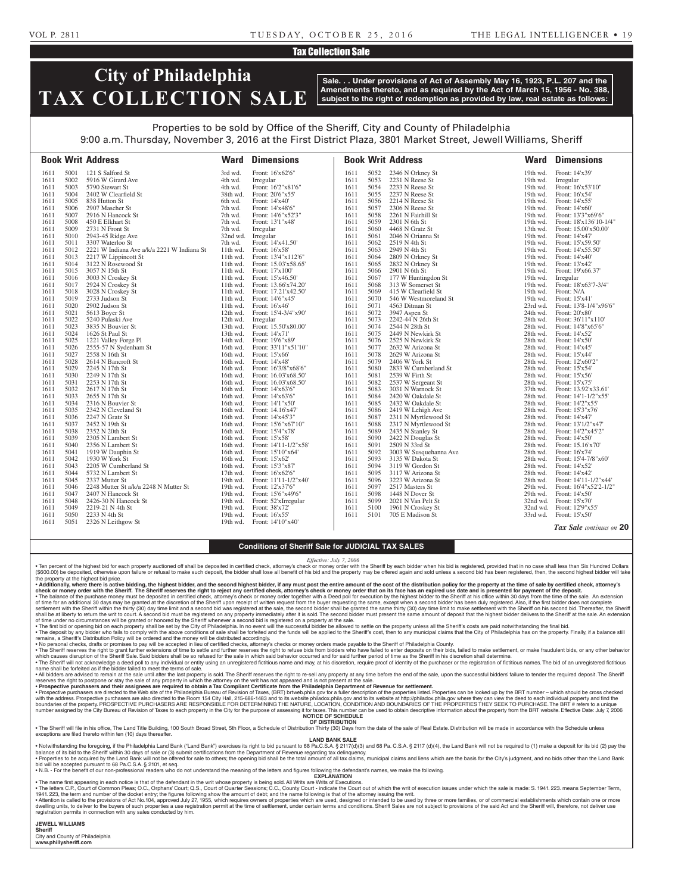### VOL P. 2811 TUESDAY, OCTOBER 25, 2016 THE LEGAL INTELLIGENCER • 19

## Tax Collection Sale

# **City of Philadelphia TAX COLLECTION SALE**

**Sale. . . Under provisions of Act of Assembly May 16, 1923, P.L. 207 and the Amendments thereto, and as required by the Act of March 15, 1956 - No. 388, subject to the right of redemption as provided by law, real estate as follows:**

# Properties to be sold by Office of the Sheriff, City and County of Philadelphia

9:00 a.m. Thursday, November 3, 2016 at the First District Plaza, 3801 Market Street, Jewell Williams, Sheriff

|              |              | <b>Book Writ Address</b>                                | Ward                 | <b>Dimensions</b>                          |              |              | <b>Book Writ Address</b>              |                      | <b>Ward Dimensions</b>                          |
|--------------|--------------|---------------------------------------------------------|----------------------|--------------------------------------------|--------------|--------------|---------------------------------------|----------------------|-------------------------------------------------|
| 1611         | 5001         | 121 S Salford St                                        | 3rd wd.              | Front: 16'x62'6"                           | 1611         | 5052         | 2346 N Orkney St                      | 19th wd.             | Front: 14'x39'                                  |
| 1611         | 5002         | 5916 W Girard Ave                                       | 4th wd.              | Irregular                                  | 1611         | 5053         | 2231 N Reese St                       | 19th wd.             | Irregular                                       |
| 1611         | 5003         | 5790 Stewart St                                         | 4th wd.              | Front: 16'2"x81'6"                         | 1611         | 5054         | 2233 N Reese St                       | 19th wd.             | Front: 16'x53'10"                               |
| 1611         | 5004         | 2402 W Clearfield St                                    | 38th wd.             | Front: 20'6"x55"                           | 1611         | 5055         | 2237 N Reese St                       | 19th wd.             | Front: 16'x54'                                  |
| 1611         | 5005         | 838 Hutton St                                           | 6th wd.              | Front: 14'x40'                             | 1611         | 5056         | 2214 N Reese St                       | 19th wd.             | Front: 14'x55'                                  |
| 1611         | 5006         | 2907 Mascher St                                         | 7th wd.              | Front: 14'x48'6"                           | 1611         | 5057         | 2306 N Reese St                       | 19th wd.             | Front: 14'x60'                                  |
| 1611         | 5007         | 2916 N Hancock St                                       | 7th wd.              | Front: 14'6"x52'3"                         | 1611         | 5058         | 2261 N Fairhill St                    | 19th wd.             | Front: 13'3"x69'6"                              |
| 1611         | 5008         | 450 E Elkhart St                                        | 7th wd.              | Front: 13'1"x48"                           | 1611         | 5059         | 2301 N 6th St                         | 19th wd.             | Front: 18'x136'10-1/4"                          |
| 1611         | 5009         | 2731 N Front St                                         | 7th wd.              | Irregular                                  | 1611         | 5060         | 4468 N Gratz St                       | 13th wd.             | Front: 15.00'x50.00'                            |
| 1611         | 5010         | 2943-45 Ridge Ave                                       | 32nd wd.             | Irregular                                  | 1611         | 5061         | 2046 N Orianna St                     | 19th wd.             | Front: 14'x47'                                  |
| 1611         | 5011         | 3307 Waterloo St                                        | 7th wd.              | Front: 14'x41.50'                          | 1611         | 5062         | 2519 N 4th St                         | 19th wd.             | Front: 15'x59.50'                               |
| 1611         | 5012         | 2221 W Indiana Ave a/k/a 2221 W Indiana St              | 11th wd.             | Front: 16'x58'                             | 1611         | 5063         | 2949 N 4th St                         | 19th wd.             | Front: 14'x55.50'                               |
| 1611         | 5013         | 2217 W Lippincott St                                    | $11th$ wd.           | Front: 13'4"x112'6"                        | 1611         | 5064         | 2809 N Orkney St                      | 19th wd.             | Front: 14'x40'                                  |
| 1611         | 5014         | 3122 N Rosewood St                                      | $11th$ wd.           | Front: 15.03'x58.65'                       | 1611         | 5065         | 2832 N Orkney St                      | 19th wd.             | Front: 13'x42'                                  |
| 1611         | 5015         | 3057 N 15th St                                          | $11th$ wd.           | Front: 17'x100'                            | 1611         | 5066         | 2901 N 6th St                         | 19th wd.             | Front: 19'x66.37'                               |
| 1611         | 5016         | 3003 N Croskey St                                       | $11th$ wd.           | Front: 15'x46.50'                          | 1611         | 5067         | 177 W Huntingdon St                   | 19th wd.             | Irregular                                       |
| 1611         | 5017         | 2924 N Croskey St                                       | 11th wd.             | Front: 13.66'x74.20'                       | 1611         | 5068         | 313 W Somerset St                     | 19th wd.             | Front: 18'x63'7-3/4"                            |
| 1611         | 5018         | 3028 N Croskey St                                       | $11th$ wd.           | Front: 17.21'x42.50'                       | 1611         | 5069         | 415 W Clearfield St                   | 19th wd.             | Front: N/A                                      |
| 1611         | 5019         | 2733 Judson St                                          | 11th wd.             | Front: 14'6"x45"                           | 1611         | 5070         | 546 W Westmoreland St                 | 19th wd.             | Front: 15'x41'                                  |
| 1611         | 5020         | 2902 Judson St                                          | 11th wd.             | Front: 16'x46'                             | 1611         | 5071         | 4563 Ditman St                        | 23rd wd.             | Front: 13'8-1/4"x96'6"                          |
| 1611         | 5021         | 5613 Boyer St                                           | 12th wd.             | Front: 15'4-3/4"x90"                       | 1611         | 5072         | 3947 Aspen St                         | 24th wd.             | Front: 20'x80'                                  |
| 1611         | 5022         | 5240 Pulaski Ave                                        | 12th wd.             | Irregular                                  | 1611         | 5073         | 2242-44 N 26th St                     | 28th wd.             | Front: 36'11"x110"                              |
| 1611         | 5023         | 3835 N Bouvier St                                       | 13th wd.             | Front: 15.50'x80.00'                       | 1611         | 5074         | 2544 N 28th St                        | 28th wd.             | Front: 14'8"x65'6"                              |
| 1611         | 5024         | 1626 St Paul St                                         | 13th wd.             | Front: 14'x71'                             | 1611         | 5075         | 2449 N Newkirk St                     | 28th wd.             | Front: 14'x52'                                  |
| 1611         | 5025         | 1221 Valley Forge Pl                                    | 14th wd.             | Front: 19'6"x89"                           | 1611         | 5076         | 2525 N Newkirk St                     | 28th wd.             | Front: 14'x50'                                  |
| 1611         | 5026         | 2555-57 N Sydenham St                                   | 16th wd.             | Front: 33'11"x51'10"                       | 1611         | 5077         | 2632 W Arizona St                     | 28th wd.             | Front: 14'x45'                                  |
| 1611         | 5027         | 2558 N 16th St                                          | 16th wd.             | Front: 15'x66'                             | 1611         | 5078         | 2629 W Arizona St                     | 28th wd.             | Front: 15'x44'                                  |
| 1611         | 5028         | 2614 N Bancroft St                                      | 16th wd.             | Front: 14'x48'                             | 1611         | 5079         | 2406 W York St                        | 28th wd.             | Front: 12'x60'2"                                |
| 1611         | 5029         | 2245 N 17th St                                          | 16th wd.             | Front: 16'3/8"x68'6"                       | 1611         | 5080         | 2833 W Cumberland St                  | 28th wd.             | Front: 15'x54'                                  |
| 1611         | 5030         | 2249 N 17th St                                          | 16th wd.             | Front: 16.03'x68.50'                       | 1611         | 5081         | 2539 W Firth St                       | 28th wd.             | Front: 15'x56'                                  |
| 1611         | 5031         | 2253 N 17th St                                          | 16th wd.             | Front: 16.03'x68.50'                       | 1611         | 5082         | 2537 W Sergeant St                    | 28th wd.             | Front: 15'x75'                                  |
| 1611         | 5032         | 2617 N 17th St                                          | 16th wd.             | Front: 14'x63'6"                           | 1611         | 5083         | 3031 N Warnock St                     | 37th wd.             | Front: 13.92'x33.61'                            |
| 1611         | 5033         | 2655 N 17th St                                          | 16th wd.             | Front: 14'x63'6"                           | 1611         | 5084         | 2420 W Oakdale St                     | 28th wd.             | Front: 14'1-1/2"x55'                            |
| 1611         | 5034         | 2316 N Bouvier St                                       | 16th wd.             | Front: 14'1"x50'                           | 1611         | 5085         | 2432 W Oakdale St                     | 28th wd.             | Front: 14'2"x55"                                |
| 1611         | 5035         | 2342 N Cleveland St                                     | 16th wd.             | Front: 14.16'x47'                          | 1611         | 5086         | 2419 W Lehigh Ave                     | 28th wd.             | Front: 15'3"x76"                                |
| 1611         | 5036         | 2247 N Gratz St                                         | 16th wd.             | Front: 14'x45'3"                           | 1611         | 5087         | 2311 N Myrtlewood St                  | 28th wd.             | Front: 14'x47'                                  |
| 1611         | 5037         | 2452 N 19th St                                          | 16th wd.             | Front: 15'6"x67'10"                        | 1611         | 5088         | 2317 N Myrtlewood St                  | 28th wd.             | Front: 13'1/2"x47'                              |
| 1611         | 5038         | 2352 N 20th St                                          | 16th wd.             | Front: 15'4"x78"                           | 1611         | 5089         | 2435 N Stanley St                     | 28th wd.             | Front: 14'2"x45'2"                              |
| 1611         | 5039         | 2305 N Lambert St                                       | 16th wd.             | Front: 15'x58'                             | 1611         | 5090         | 2422 N Douglas St                     | 28th wd.             | Front: 14'x50'                                  |
| 1611         | 5040<br>5041 | 2356 N Lambert St                                       | 16th wd.             | Front: 14'11-1/2"x58"                      | 1611         | 5091         | 2509 N 33rd St                        | 28th wd.             | Front: 15.16'x70'                               |
| 1611         | 5042         | 1919 W Dauphin St<br>1930 W York St                     | 16th wd.             | Front: 15'10"x64'                          | 1611         | 5092<br>5093 | 3003 W Susquehanna Ave                | 28th wd.             | Front: 16'x74'                                  |
| 1611<br>1611 | 5043         |                                                         | 16th wd.             | Front: 15'x62'<br>Front: 15'3"x87'         | 1611<br>1611 | 5094         | 3135 W Dakota St                      | 28th wd.             | Front: 15'4-7/8"x60"<br>Front: 14'x52'          |
| 1611         | 5044         | 2205 W Cumberland St<br>5732 N Lambert St               | 16th wd.             |                                            | 1611         | 5095         | 3119 W Gordon St<br>3117 W Arizona St | 28th wd.             | Front: 14'x42'                                  |
|              | 5045         |                                                         | 17th wd.             | Front: 16'x62'6"                           | 1611         | 5096         |                                       | 28th wd.             |                                                 |
| 1611<br>1611 | 5046         | 2337 Mutter St<br>2248 Mutter St a/k/a 2248 N Mutter St | 19th wd.<br>19th wd. | Front: 11'11-1/2"x40"<br>Front: 12'x37'6"  | 1611         | 5097         | 3223 W Arizona St<br>2517 Masters St  | 28th wd.<br>29th wd. | Front: 14'11-1/2"x44'<br>Front: 16'4"x52'2-1/2" |
|              | 5047         |                                                         |                      |                                            | 1611         | 5098         |                                       | 29th wd.             |                                                 |
| 1611<br>1611 | 5048         | 2407 N Hancock St<br>2426-30 N Hancock St               | 19th wd.<br>19th wd. | Front: 15'6"x49'6"<br>Front: 52'xIrregular | 1611         | 5099         | 1448 N Dover St<br>2021 N Van Pelt St |                      | Front: 14'x50'<br>32nd wd. Front: 15'x70'       |
| 1611         | 5049         | 2219-21 N 4th St                                        | 19th wd.             | Front: 38'x72'                             | 1611         | 5100         | 1961 N Croskey St                     | 32nd wd.             | Front: 12'9"x55'                                |
| 1611         | 5050         | 2233 N 4th St                                           | 19th wd.             | Front: 16'x55'                             | 1611         | 5101         | 705 E Madison St                      | 33rd wd.             | Front: $15'x50'$                                |
| 1611         | 5051         | 2326 N Leithgow St                                      | 19th wd.             | Front: 14'10"x40"                          |              |              |                                       |                      |                                                 |
|              |              |                                                         |                      |                                            |              |              |                                       |                      | Tax Sale continues on 20                        |

#### **Conditions of Sheriff Sale for JUDICIAL TAX SALES**

*Effective: July 7, 2006*

• Ten percent of the highest bid for each property auctioned off shall be deposited in certified check, attorney's check or money order with the Sheriff by each bidder when his bid is registered, provided that in no case s (\$600.00) be deposited, otherwise upon failure or refusal to make such deposit, the bidder shall lose all benefit of his bid and the property may be offered again and sold unless a second bid has been registered, then, the the property at the highest bid price.

• Additionally, where there is active bidding, the highest bidder, and the second highest bidder, if any must post the entire amount of the cost of the distribution policy for the property at the time of sale by certified ∙ The balance of the purchase money must be deposited in certified check, attorney's check or money order together with a Deed poll for execution by the highest bidder to the Sheriff at his office within 30 days from the shall be at liberty to return the writ to court. A second bid must be registered on any property immediately after it is sold. The second bidder must present the same amount of deposit that the highest bidder delivers to t

• The first bid or opening bid on each property shall be set by the City of Philadelphia. In no event will the successful bidder be allowed to settle on the property unless all the Sheriff's costs are paid not withstanding

remains, a Sheriff's Distribution Policy will be ordered and the money will be distributed accordingly.<br>• No personal checks, drament of the secepted in lieu of certical on the secepted in lieu of certified checks, attorn which causes disruption of the Sheriff Sale. Said bidders shall be so refused for the sale in which said behavior occurred and for said further period of time as the Sheriff in his discretion shall determine.<br>• The Sheriff

name shall be forfeited as if the bidder failed to meet the terms of sale. • All bidders are advised to remain at the sale until after the last property is sold. The Sheriff reserves the right to re-sell any property at any time before the end of the sale, upon the successful bidders' failure to

• **Prospective purchasers and their assignees are required to obtain a Tax Compliant Certificate from the Philadelphia Department of Revenue for settlement.** • Prospective purchasers are directed to the Web site of the Philadelphia Bureau of Revision of Taxes, (BRT) brtweb.phila.gov for a fuller description of the properties listed. Properties can be looked up by the BRT number boundaries of the property. PROSPECTIVE PURCHASERS ARE RESPONSIBLE FOR DETERMINING THE NATURE, LOCATION, CONDITION AND BOUNDARIES OF THE PROPERTIES THEY SEEK TO PURCHASE. The BRT # refers to a unique number assigned by the City Bureau of Revision of Taxes to each property in the City for the purpose of assessing it for taxes. This number can be used to obtain descriptive information about the property from the BRT webs **NOTICE OF SCHEDULE**

**OF DISTRIBUTION** • The Sheriff will file in his office, The Land Title Building, 100 South Broad Street, 5th Floor, a Schedule of Distribution Thirty (30) Days from the date of the sale of Real Estate. Distribution will be made in accordan

**LAND BANK SALE**

foregoing, if the Philadelphia Land Bank ("Land Bank") exercises its right to bid pursuant to 68 Pa.C.S.A. § 2117(d)(3) and 68 Pa.C.S.A. § 2117 (d)(4), the Land Bank will not be required to (1) make a deposit for its bid ( balance of its bid to the Sheriff within 30 days of sale or (3) submit certifications from the Department of Revenue regarding tax delinquency. . Properties to be acquired by the Land Bank will not be offered for sale to others; the opening bid shall be the total amount of all tax claims, municipal claims and liens which are the basis for the City's judgment, and bid will be accepted pursuant to 68 Pa.C.S.A. § 2101, et seq.

• N.B. - For the benefit of our non-professional readers who do not understand the meaning of the letters and figures following the defendant's names, we make the following. **EXPLANATION** 

• The name first appearing in each notice is that of the defendant in the writ whose property is being sold. All Writs are Writs of Executions.<br>• The letters C.P., Court of Common Pleas to a broth and the writ of Diplans'

• Attention is called to the provisions of Act No.104, approved July 27, 1955, which requires owners of properties which are used, designed or intended to be used by three or more families, or of commercial establishments registration permits in connection with any sales conducted by him.

**JEWELL WILLIAMS Sheriff** 

City and County of Philadelphia **www.phillysheriff.com**